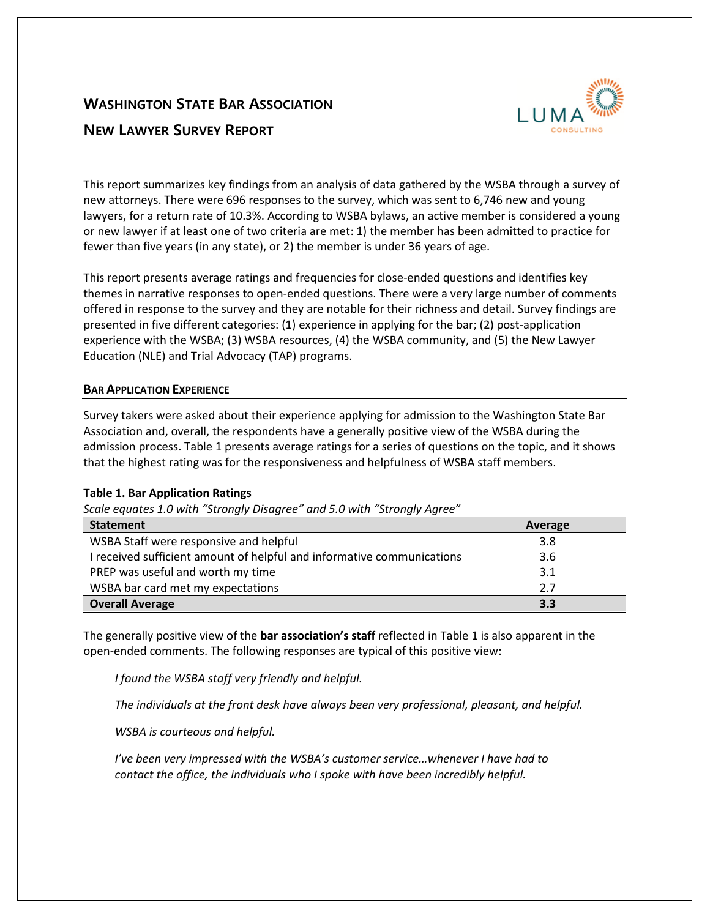# **WASHINGTON STATE BAR ASSOCIATION NEW LAWYER SURVEY REPORT**



This report summarizes key findings from an analysis of data gathered by the WSBA through a survey of new attorneys. There were 696 responses to the survey, which was sent to 6,746 new and young lawyers, for a return rate of 10.3%. According to WSBA bylaws, an active member is considered a young or new lawyer if at least one of two criteria are met: 1) the member has been admitted to practice for fewer than five years (in any state), or 2) the member is under 36 years of age.

This report presents average ratings and frequencies for close-ended questions and identifies key themes in narrative responses to open-ended questions. There were a very large number of comments offered in response to the survey and they are notable for their richness and detail. Survey findings are presented in five different categories: (1) experience in applying for the bar; (2) post-application experience with the WSBA; (3) WSBA resources, (4) the WSBA community, and (5) the New Lawyer Education (NLE) and Trial Advocacy (TAP) programs.

# **BAR APPLICATION EXPERIENCE**

Survey takers were asked about their experience applying for admission to the Washington State Bar Association and, overall, the respondents have a generally positive view of the WSBA during the admission process. Table 1 presents average ratings for a series of questions on the topic, and it shows that the highest rating was for the responsiveness and helpfulness of WSBA staff members.

# **Table 1. Bar Application Ratings**

*Scale equates 1.0 with "Strongly Disagree" and 5.0 with "Strongly Agree"*

| <b>Statement</b>                                                       | Average |
|------------------------------------------------------------------------|---------|
| WSBA Staff were responsive and helpful                                 | 3.8     |
| I received sufficient amount of helpful and informative communications | 3.6     |
| PREP was useful and worth my time                                      | 3.1     |
| WSBA bar card met my expectations                                      | 2.7     |
| <b>Overall Average</b>                                                 | 3.3     |

The generally positive view of the **bar association's staff** reflected in Table 1 is also apparent in the open-ended comments. The following responses are typical of this positive view:

*I found the WSBA staff very friendly and helpful.* 

*The individuals at the front desk have always been very professional, pleasant, and helpful.* 

*WSBA is courteous and helpful.* 

*I've been very impressed with the WSBA's customer service…whenever I have had to contact the office, the individuals who I spoke with have been incredibly helpful.*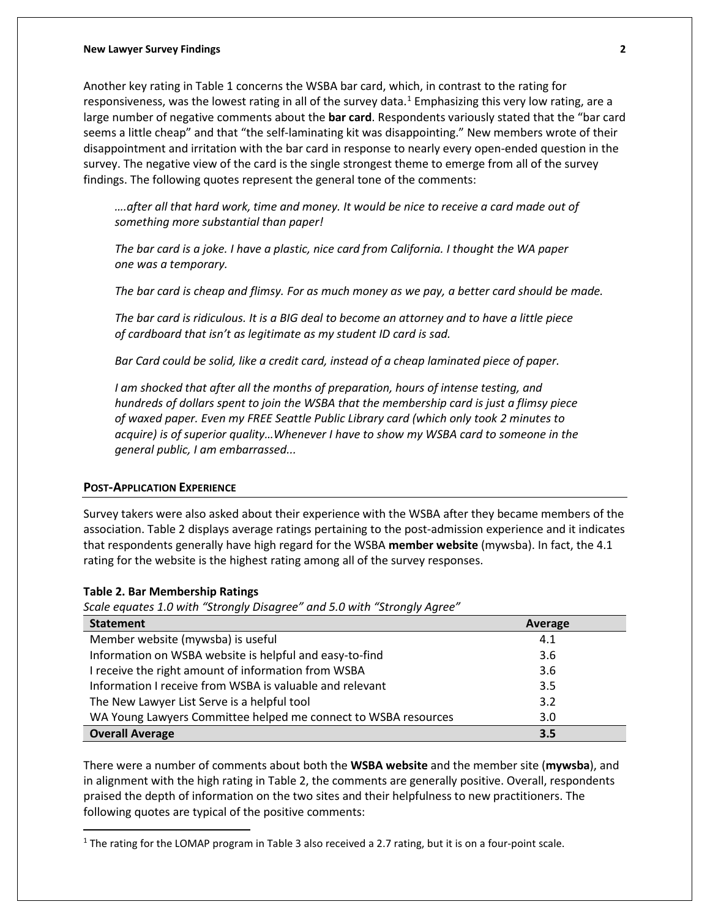#### **New Lawyer Survey Findings 2**

Another key rating in Table 1 concerns the WSBA bar card, which, in contrast to the rating for responsiveness, was the lowest rating in all of the survey data. $1$  Emphasizing this very low rating, are a large number of negative comments about the **bar card**. Respondents variously stated that the "bar card seems a little cheap" and that "the self-laminating kit was disappointing." New members wrote of their disappointment and irritation with the bar card in response to nearly every open-ended question in the survey. The negative view of the card is the single strongest theme to emerge from all of the survey findings. The following quotes represent the general tone of the comments:

*….after all that hard work, time and money. It would be nice to receive a card made out of something more substantial than paper!*

*The bar card is a joke. I have a plastic, nice card from California. I thought the WA paper one was a temporary.* 

*The bar card is cheap and flimsy. For as much money as we pay, a better card should be made.* 

*The bar card is ridiculous. It is a BIG deal to become an attorney and to have a little piece of cardboard that isn't as legitimate as my student ID card is sad.*

*Bar Card could be solid, like a credit card, instead of a cheap laminated piece of paper.* 

*I am shocked that after all the months of preparation, hours of intense testing, and hundreds of dollars spent to join the WSBA that the membership card is just a flimsy piece of waxed paper. Even my FREE Seattle Public Library card (which only took 2 minutes to acquire) is of superior quality…Whenever I have to show my WSBA card to someone in the general public, I am embarrassed...*

#### **POST-APPLICATION EXPERIENCE**

Survey takers were also asked about their experience with the WSBA after they became members of the association. Table 2 displays average ratings pertaining to the post-admission experience and it indicates that respondents generally have high regard for the WSBA **member website** (mywsba). In fact, the 4.1 rating for the website is the highest rating among all of the survey responses.

### **Table 2. Bar Membership Ratings**

 $\overline{a}$ 

*Scale equates 1.0 with "Strongly Disagree" and 5.0 with "Strongly Agree"*

| <b>Statement</b>                                               | Average |
|----------------------------------------------------------------|---------|
| Member website (mywsba) is useful                              | 4.1     |
| Information on WSBA website is helpful and easy-to-find        | 3.6     |
| I receive the right amount of information from WSBA            | 3.6     |
| Information I receive from WSBA is valuable and relevant       | 3.5     |
| The New Lawyer List Serve is a helpful tool                    | 3.2     |
| WA Young Lawyers Committee helped me connect to WSBA resources | 3.0     |
| <b>Overall Average</b>                                         | 3.5     |

There were a number of comments about both the **WSBA website** and the member site (**mywsba**), and in alignment with the high rating in Table 2, the comments are generally positive. Overall, respondents praised the depth of information on the two sites and their helpfulness to new practitioners. The following quotes are typical of the positive comments:

<span id="page-1-0"></span><sup>&</sup>lt;sup>1</sup> The rating for the LOMAP program in Table 3 also received a 2.7 rating, but it is on a four-point scale.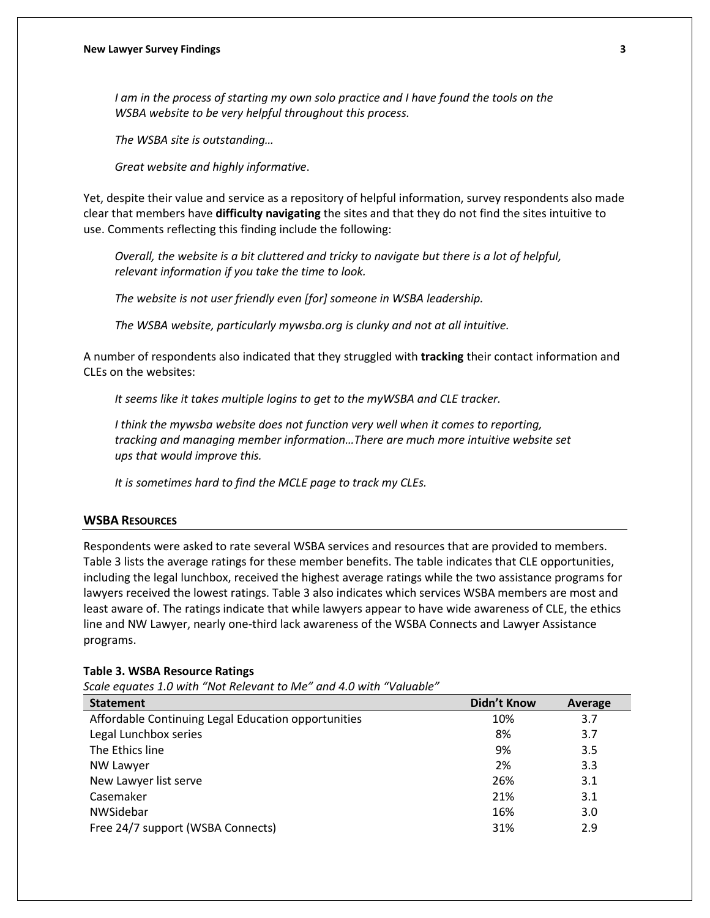*I am in the process of starting my own solo practice and I have found the tools on the WSBA website to be very helpful throughout this process.* 

*The WSBA site is outstanding…*

*Great website and highly informative*.

Yet, despite their value and service as a repository of helpful information, survey respondents also made clear that members have **difficulty navigating** the sites and that they do not find the sites intuitive to use. Comments reflecting this finding include the following:

*Overall, the website is a bit cluttered and tricky to navigate but there is a lot of helpful, relevant information if you take the time to look.* 

*The website is not user friendly even [for] someone in WSBA leadership.* 

*The WSBA website, particularly mywsba.org is clunky and not at all intuitive.* 

A number of respondents also indicated that they struggled with **tracking** their contact information and CLEs on the websites:

*It seems like it takes multiple logins to get to the myWSBA and CLE tracker.*

*I think the mywsba website does not function very well when it comes to reporting, tracking and managing member information…There are much more intuitive website set ups that would improve this.* 

*It is sometimes hard to find the MCLE page to track my CLEs.*

## **WSBA RESOURCES**

Respondents were asked to rate several WSBA services and resources that are provided to members. Table 3 lists the average ratings for these member benefits. The table indicates that CLE opportunities, including the legal lunchbox, received the highest average ratings while the two assistance programs for lawyers received the lowest ratings. Table 3 also indicates which services WSBA members are most and least aware of. The ratings indicate that while lawyers appear to have wide awareness of CLE, the ethics line and NW Lawyer, nearly one-third lack awareness of the WSBA Connects and Lawyer Assistance programs.

#### **Table 3. WSBA Resource Ratings**

*Scale equates 1.0 with "Not Relevant to Me" and 4.0 with "Valuable"* 

| <b>Statement</b>                                    | <b>Didn't Know</b> | Average |
|-----------------------------------------------------|--------------------|---------|
| Affordable Continuing Legal Education opportunities | 10%                | 3.7     |
| Legal Lunchbox series                               | 8%                 | 3.7     |
| The Ethics line                                     | 9%                 | 3.5     |
| <b>NW Lawyer</b>                                    | 2%                 | 3.3     |
| New Lawyer list serve                               | 26%                | 3.1     |
| Casemaker                                           | 21%                | 3.1     |
| NWSidebar                                           | 16%                | 3.0     |
| Free 24/7 support (WSBA Connects)                   | 31%                | 2.9     |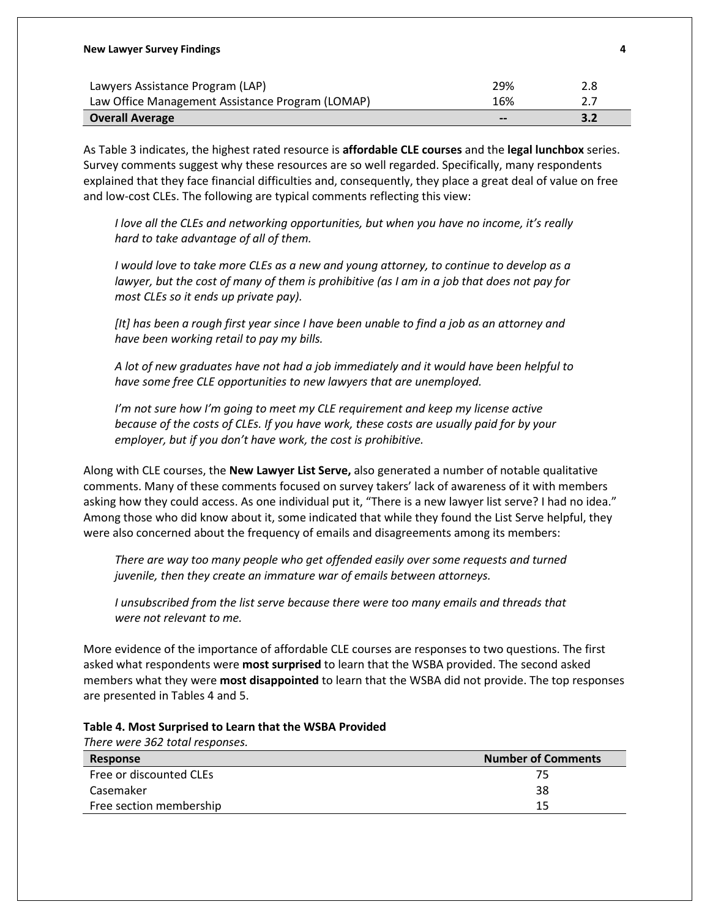| <b>New Lawyer Survey Findings</b>                |                              | 4   |
|--------------------------------------------------|------------------------------|-----|
| Lawyers Assistance Program (LAP)                 | 29%                          | 2.8 |
| Law Office Management Assistance Program (LOMAP) | 16%                          | 27  |
| <b>Overall Average</b>                           | $\qquad \qquad \blacksquare$ |     |

As Table 3 indicates, the highest rated resource is **affordable CLE courses** and the **legal lunchbox** series. Survey comments suggest why these resources are so well regarded. Specifically, many respondents explained that they face financial difficulties and, consequently, they place a great deal of value on free and low-cost CLEs. The following are typical comments reflecting this view:

*I love all the CLEs and networking opportunities, but when you have no income, it's really hard to take advantage of all of them.*

*I would love to take more CLEs as a new and young attorney, to continue to develop as a lawyer, but the cost of many of them is prohibitive (as I am in a job that does not pay for most CLEs so it ends up private pay).* 

*[It] has been a rough first year since I have been unable to find a job as an attorney and have been working retail to pay my bills.* 

*A lot of new graduates have not had a job immediately and it would have been helpful to have some free CLE opportunities to new lawyers that are unemployed.* 

*I'm not sure how I'm going to meet my CLE requirement and keep my license active because of the costs of CLEs. If you have work, these costs are usually paid for by your employer, but if you don't have work, the cost is prohibitive.* 

Along with CLE courses, the **New Lawyer List Serve,** also generated a number of notable qualitative comments. Many of these comments focused on survey takers' lack of awareness of it with members asking how they could access. As one individual put it, "There is a new lawyer list serve? I had no idea." Among those who did know about it, some indicated that while they found the List Serve helpful, they were also concerned about the frequency of emails and disagreements among its members:

*There are way too many people who get offended easily over some requests and turned juvenile, then they create an immature war of emails between attorneys.* 

*I unsubscribed from the list serve because there were too many emails and threads that were not relevant to me.* 

More evidence of the importance of affordable CLE courses are responses to two questions. The first asked what respondents were **most surprised** to learn that the WSBA provided. The second asked members what they were **most disappointed** to learn that the WSBA did not provide. The top responses are presented in Tables 4 and 5.

| There were 362 total responses. |                           |
|---------------------------------|---------------------------|
| Response                        | <b>Number of Comments</b> |
| Free or discounted CLEs         | 75.                       |
| Casemaker                       | 38                        |
| Free section membership         | 15                        |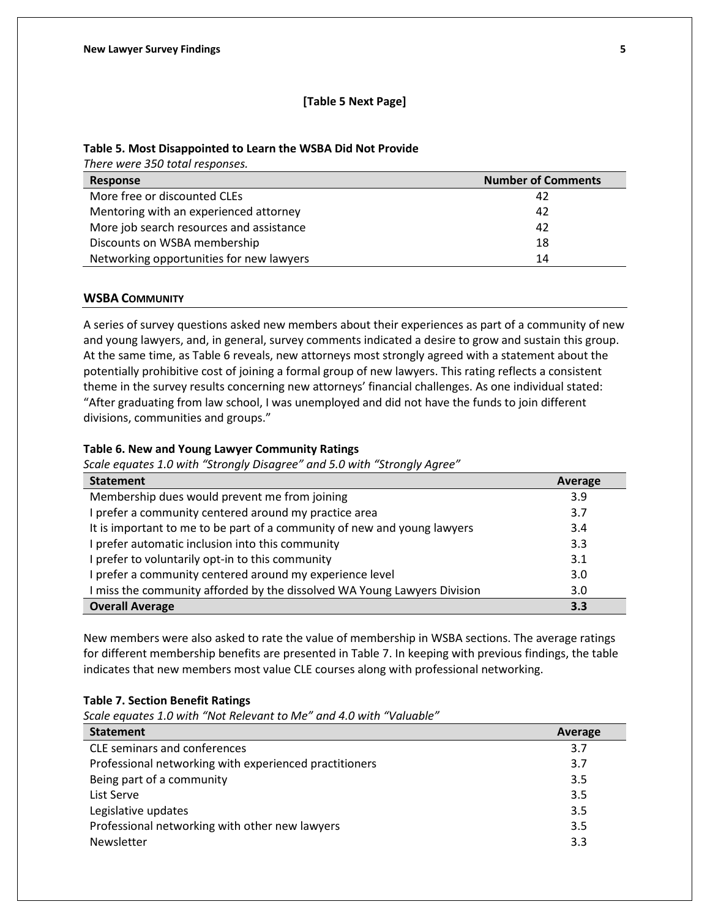## **[Table 5 Next Page]**

## **Table 5. Most Disappointed to Learn the WSBA Did Not Provide**

*There were 350 total responses.* 

| Response                                 | <b>Number of Comments</b> |
|------------------------------------------|---------------------------|
| More free or discounted CLEs             | 42                        |
| Mentoring with an experienced attorney   | 42                        |
| More job search resources and assistance | 42                        |
| Discounts on WSBA membership             | 18                        |
| Networking opportunities for new lawyers | 14                        |

## **WSBA COMMUNITY**

A series of survey questions asked new members about their experiences as part of a community of new and young lawyers, and, in general, survey comments indicated a desire to grow and sustain this group. At the same time, as Table 6 reveals, new attorneys most strongly agreed with a statement about the potentially prohibitive cost of joining a formal group of new lawyers. This rating reflects a consistent theme in the survey results concerning new attorneys' financial challenges. As one individual stated: "After graduating from law school, I was unemployed and did not have the funds to join different divisions, communities and groups."

### **Table 6. New and Young Lawyer Community Ratings**

*Scale equates 1.0 with "Strongly Disagree" and 5.0 with "Strongly Agree"*

| <b>Statement</b>                                                         | Average |
|--------------------------------------------------------------------------|---------|
| Membership dues would prevent me from joining                            | 3.9     |
| I prefer a community centered around my practice area                    | 3.7     |
| It is important to me to be part of a community of new and young lawyers | 3.4     |
| I prefer automatic inclusion into this community                         | 3.3     |
| I prefer to voluntarily opt-in to this community                         | 3.1     |
| I prefer a community centered around my experience level                 | 3.0     |
| I miss the community afforded by the dissolved WA Young Lawyers Division | 3.0     |
| <b>Overall Average</b>                                                   | 3.3     |

New members were also asked to rate the value of membership in WSBA sections. The average ratings for different membership benefits are presented in Table 7. In keeping with previous findings, the table indicates that new members most value CLE courses along with professional networking.

## **Table 7. Section Benefit Ratings**

*Scale equates 1.0 with "Not Relevant to Me" and 4.0 with "Valuable"* 

| <b>Statement</b>                                       | Average |
|--------------------------------------------------------|---------|
| <b>CLE</b> seminars and conferences                    | 3.7     |
| Professional networking with experienced practitioners | 3.7     |
| Being part of a community                              | 3.5     |
| List Serve                                             | 3.5     |
| Legislative updates                                    | 3.5     |
| Professional networking with other new lawyers         | 3.5     |
| Newsletter                                             | 3.3     |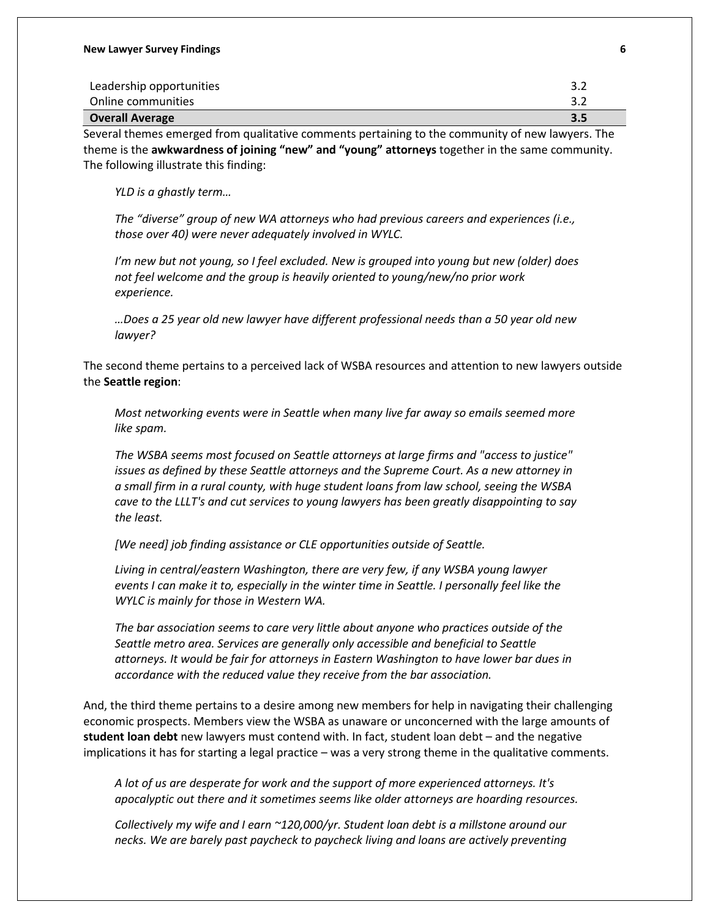| Leadership opportunities | 3.2 |
|--------------------------|-----|
| Online communities       | 3.2 |
| <b>Overall Average</b>   | 3.5 |

Several themes emerged from qualitative comments pertaining to the community of new lawyers. The theme is the **awkwardness of joining "new" and "young" attorneys** together in the same community. The following illustrate this finding:

*YLD is a ghastly term…*

*The "diverse" group of new WA attorneys who had previous careers and experiences (i.e., those over 40) were never adequately involved in WYLC.* 

*I'm new but not young, so I feel excluded. New is grouped into young but new (older) does not feel welcome and the group is heavily oriented to young/new/no prior work experience.* 

*…Does a 25 year old new lawyer have different professional needs than a 50 year old new lawyer?* 

The second theme pertains to a perceived lack of WSBA resources and attention to new lawyers outside the **Seattle region**:

*Most networking events were in Seattle when many live far away so emails seemed more like spam.*

*The WSBA seems most focused on Seattle attorneys at large firms and "access to justice" issues as defined by these Seattle attorneys and the Supreme Court. As a new attorney in a small firm in a rural county, with huge student loans from law school, seeing the WSBA cave to the LLLT's and cut services to young lawyers has been greatly disappointing to say the least.*

*[We need] job finding assistance or CLE opportunities outside of Seattle.*

*Living in central/eastern Washington, there are very few, if any WSBA young lawyer events I can make it to, especially in the winter time in Seattle. I personally feel like the WYLC is mainly for those in Western WA.*

*The bar association seems to care very little about anyone who practices outside of the Seattle metro area. Services are generally only accessible and beneficial to Seattle attorneys. It would be fair for attorneys in Eastern Washington to have lower bar dues in accordance with the reduced value they receive from the bar association.*

And, the third theme pertains to a desire among new members for help in navigating their challenging economic prospects. Members view the WSBA as unaware or unconcerned with the large amounts of **student loan debt** new lawyers must contend with. In fact, student loan debt – and the negative implications it has for starting a legal practice – was a very strong theme in the qualitative comments.

*A lot of us are desperate for work and the support of more experienced attorneys. It's apocalyptic out there and it sometimes seems like older attorneys are hoarding resources.*

*Collectively my wife and I earn ~120,000/yr. Student loan debt is a millstone around our necks. We are barely past paycheck to paycheck living and loans are actively preventing*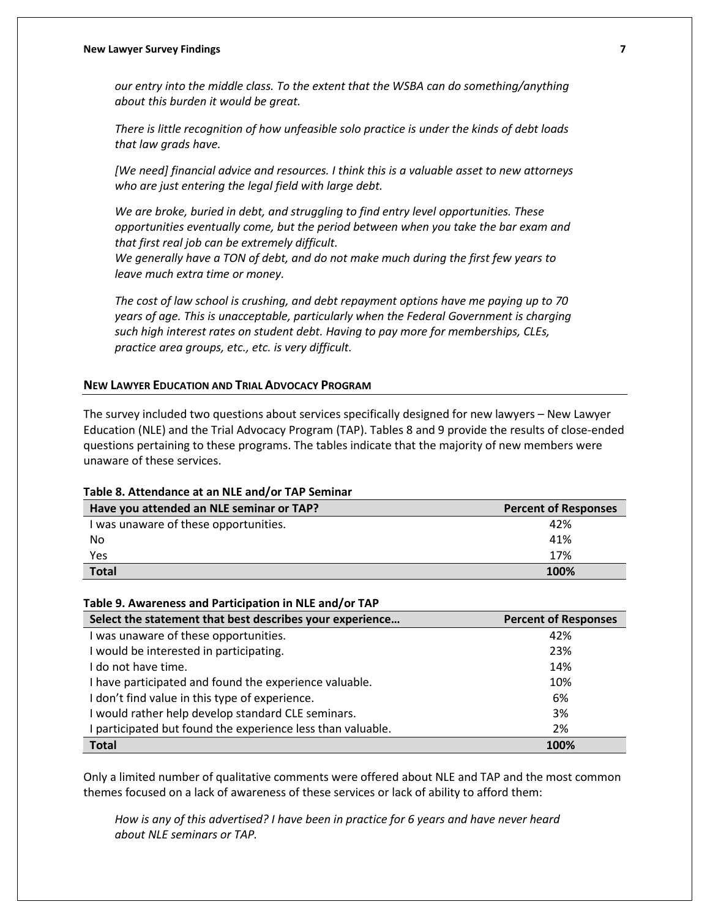#### **New Lawyer Survey Findings 7**

*our entry into the middle class. To the extent that the WSBA can do something/anything about this burden it would be great.*

*There is little recognition of how unfeasible solo practice is under the kinds of debt loads that law grads have.*

*[We need] financial advice and resources. I think this is a valuable asset to new attorneys who are just entering the legal field with large debt.*

*We are broke, buried in debt, and struggling to find entry level opportunities. These opportunities eventually come, but the period between when you take the bar exam and that first real job can be extremely difficult.*

*We generally have a TON of debt, and do not make much during the first few years to leave much extra time or money.*

*The cost of law school is crushing, and debt repayment options have me paying up to 70 years of age. This is unacceptable, particularly when the Federal Government is charging such high interest rates on student debt. Having to pay more for memberships, CLEs, practice area groups, etc., etc. is very difficult.*

### **NEW LAWYER EDUCATION AND TRIAL ADVOCACY PROGRAM**

The survey included two questions about services specifically designed for new lawyers – New Lawyer Education (NLE) and the Trial Advocacy Program (TAP). Tables 8 and 9 provide the results of close-ended questions pertaining to these programs. The tables indicate that the majority of new members were unaware of these services.

#### **Table 8. Attendance at an NLE and/or TAP Seminar**

| Have you attended an NLE seminar or TAP? | <b>Percent of Responses</b> |
|------------------------------------------|-----------------------------|
| I was unaware of these opportunities.    | 42%                         |
| No                                       | 41%                         |
| Yes                                      | 17%                         |
| <b>Total</b>                             | 100%                        |

#### **Table 9. Awareness and Participation in NLE and/or TAP**

| Select the statement that best describes your experience    | <b>Percent of Responses</b> |
|-------------------------------------------------------------|-----------------------------|
| was unaware of these opportunities.                         | 42%                         |
| I would be interested in participating.                     | 23%                         |
| I do not have time.                                         | 14%                         |
| I have participated and found the experience valuable.      | 10%                         |
| I don't find value in this type of experience.              | 6%                          |
| I would rather help develop standard CLE seminars.          | 3%                          |
| I participated but found the experience less than valuable. | 2%                          |
| <b>Total</b>                                                | 100%                        |

Only a limited number of qualitative comments were offered about NLE and TAP and the most common themes focused on a lack of awareness of these services or lack of ability to afford them:

*How is any of this advertised? I have been in practice for 6 years and have never heard about NLE seminars or TAP.*